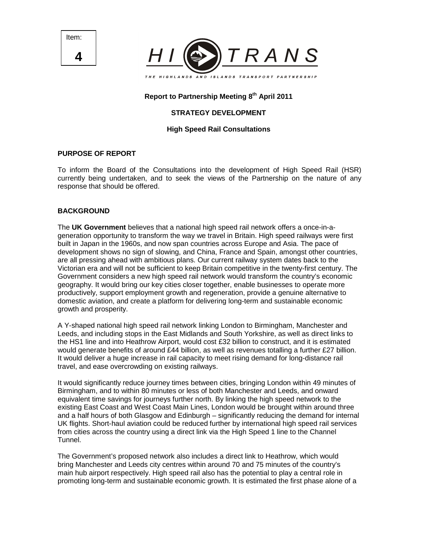Item: **4**



# **Report to Partnership Meeting 8th April 2011**

# **STRATEGY DEVELOPMENT**

## **High Speed Rail Consultations**

#### **PURPOSE OF REPORT**

To inform the Board of the Consultations into the development of High Speed Rail (HSR) currently being undertaken, and to seek the views of the Partnership on the nature of any response that should be offered.

#### **BACKGROUND**

The **UK Government** believes that a national high speed rail network offers a once-in-ageneration opportunity to transform the way we travel in Britain. High speed railways were first built in Japan in the 1960s, and now span countries across Europe and Asia. The pace of development shows no sign of slowing, and China, France and Spain, amongst other countries, are all pressing ahead with ambitious plans. Our current railway system dates back to the Victorian era and will not be sufficient to keep Britain competitive in the twenty-first century. The Government considers a new high speed rail network would transform the country's economic geography. It would bring our key cities closer together, enable businesses to operate more productively, support employment growth and regeneration, provide a genuine alternative to domestic aviation, and create a platform for delivering long-term and sustainable economic growth and prosperity.

A Y-shaped national high speed rail network linking London to Birmingham, Manchester and Leeds, and including stops in the East Midlands and South Yorkshire, as well as direct links to the HS1 line and into Heathrow Airport, would cost £32 billion to construct, and it is estimated would generate benefits of around £44 billion, as well as revenues totalling a further £27 billion. It would deliver a huge increase in rail capacity to meet rising demand for long-distance rail travel, and ease overcrowding on existing railways.

It would significantly reduce journey times between cities, bringing London within 49 minutes of Birmingham, and to within 80 minutes or less of both Manchester and Leeds, and onward equivalent time savings for journeys further north. By linking the high speed network to the existing East Coast and West Coast Main Lines, London would be brought within around three and a half hours of both Glasgow and Edinburgh – significantly reducing the demand for internal UK flights. Short-haul aviation could be reduced further by international high speed rail services from cities across the country using a direct link via the High Speed 1 line to the Channel Tunnel.

The Government's proposed network also includes a direct link to Heathrow, which would bring Manchester and Leeds city centres within around 70 and 75 minutes of the country's main hub airport respectively. High speed rail also has the potential to play a central role in promoting long-term and sustainable economic growth. It is estimated the first phase alone of a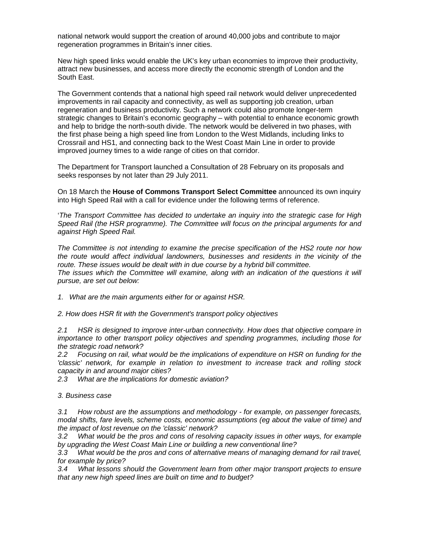national network would support the creation of around 40,000 jobs and contribute to major regeneration programmes in Britain's inner cities.

New high speed links would enable the UK's key urban economies to improve their productivity, attract new businesses, and access more directly the economic strength of London and the South East.

The Government contends that a national high speed rail network would deliver unprecedented improvements in rail capacity and connectivity, as well as supporting job creation, urban regeneration and business productivity. Such a network could also promote longer-term strategic changes to Britain's economic geography – with potential to enhance economic growth and help to bridge the north-south divide. The network would be delivered in two phases, with the first phase being a high speed line from London to the West Midlands, including links to Crossrail and HS1, and connecting back to the West Coast Main Line in order to provide improved journey times to a wide range of cities on that corridor.

The Department for Transport launched a Consultation of 28 February on its proposals and seeks responses by not later than 29 July 2011.

On 18 March the **House of Commons Transport Select Committee** announced its own inquiry into High Speed Rail with a call for evidence under the following terms of reference.

'The Transport Committee has decided to undertake an inquiry into the strategic case for High Speed Rail (the HSR programme). The Committee will focus on the principal arguments for and against High Speed Rail.

The Committee is not intending to examine the precise specification of the HS2 route nor how the route would affect individual landowners, businesses and residents in the vicinity of the route. These issues would be dealt with in due course by a hybrid bill committee. The issues which the Committee will examine, along with an indication of the questions it will pursue, are set out below:

1. What are the main arguments either for or against HSR.

2. How does HSR fit with the Government's transport policy objectives

2.1 HSR is designed to improve inter-urban connectivity. How does that objective compare in importance to other transport policy objectives and spending programmes, including those for the strategic road network?

2.2 Focusing on rail, what would be the implications of expenditure on HSR on funding for the 'classic' network, for example in relation to investment to increase track and rolling stock capacity in and around major cities?

2.3 What are the implications for domestic aviation?

3. Business case

3.1 How robust are the assumptions and methodology - for example, on passenger forecasts, modal shifts, fare levels, scheme costs, economic assumptions (eg about the value of time) and the impact of lost revenue on the 'classic' network?

3.2 What would be the pros and cons of resolving capacity issues in other ways, for example by upgrading the West Coast Main Line or building a new conventional line?

3.3 What would be the pros and cons of alternative means of managing demand for rail travel, for example by price?

3.4 What lessons should the Government learn from other major transport projects to ensure that any new high speed lines are built on time and to budget?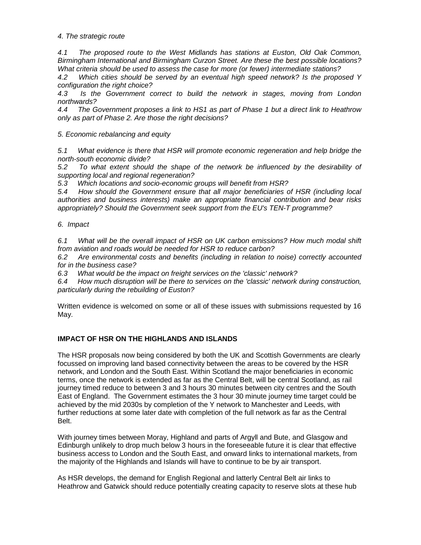4. The strategic route

4.1 The proposed route to the West Midlands has stations at Euston, Old Oak Common, Birmingham International and Birmingham Curzon Street. Are these the best possible locations? What criteria should be used to assess the case for more (or fewer) intermediate stations?

4.2 Which cities should be served by an eventual high speed network? Is the proposed Y configuration the right choice?

4.3 Is the Government correct to build the network in stages, moving from London northwards?

4.4 The Government proposes a link to HS1 as part of Phase 1 but a direct link to Heathrow only as part of Phase 2. Are those the right decisions?

5. Economic rebalancing and equity

5.1 What evidence is there that HSR will promote economic regeneration and help bridge the north-south economic divide?

5.2 To what extent should the shape of the network be influenced by the desirability of supporting local and regional regeneration?

5.3 Which locations and socio-economic groups will benefit from HSR?

5.4 How should the Government ensure that all major beneficiaries of HSR (including local authorities and business interests) make an appropriate financial contribution and bear risks appropriately? Should the Government seek support from the EU's TEN-T programme?

6. Impact

6.1 What will be the overall impact of HSR on UK carbon emissions? How much modal shift from aviation and roads would be needed for HSR to reduce carbon?

6.2 Are environmental costs and benefits (including in relation to noise) correctly accounted for in the business case?

6.3 What would be the impact on freight services on the 'classic' network?

6.4 How much disruption will be there to services on the 'classic' network during construction, particularly during the rebuilding of Euston?

Written evidence is welcomed on some or all of these issues with submissions requested by 16 May.

#### **IMPACT OF HSR ON THE HIGHLANDS AND ISLANDS**

The HSR proposals now being considered by both the UK and Scottish Governments are clearly focussed on improving land based connectivity between the areas to be covered by the HSR network, and London and the South East. Within Scotland the major beneficiaries in economic terms, once the network is extended as far as the Central Belt, will be central Scotland, as rail journey timed reduce to between 3 and 3 hours 30 minutes between city centres and the South East of England. The Government estimates the 3 hour 30 minute journey time target could be achieved by the mid 2030s by completion of the Y network to Manchester and Leeds, with further reductions at some later date with completion of the full network as far as the Central Belt.

With journey times between Moray, Highland and parts of Argyll and Bute, and Glasgow and Edinburgh unlikely to drop much below 3 hours in the foreseeable future it is clear that effective business access to London and the South East, and onward links to international markets, from the majority of the Highlands and Islands will have to continue to be by air transport.

As HSR develops, the demand for English Regional and latterly Central Belt air links to Heathrow and Gatwick should reduce potentially creating capacity to reserve slots at these hub